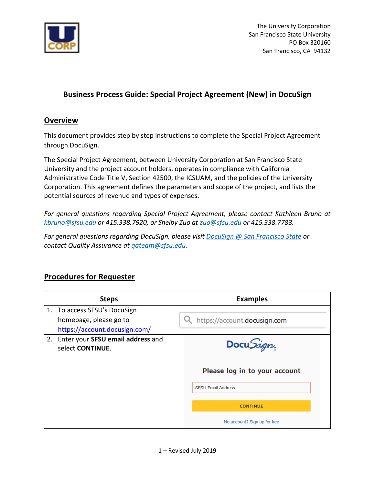

The University Corporation San Francisco State University PO Box 320160 San Francisco, CA 94132

## **Business Process Guide: Special Project Agreement (New) in DocuSign**

## **Overview**

This document provides step by step instructions to complete the Special Project Agreement through DocuSign.

The Special Project Agreement, between University Corporation at San Francisco State University and the project account holders, operates in compliance with California Administrative Code Title V, Section 42500, the ICSUAM, and the policies of the University Corporation. This agreement defines the parameters and scope of the project, and lists the potential sources of revenue and types of expenses.

*For general questions regarding Special Project Agreement, please contact Kathleen Bruno at kbruno@sfsu.edu or 415.338.7920, or Shelby Zuo at [zuo@sfsu.edu](mailto:zuo@sfsu.edu) or 415.338.7783.* 

*For general questions regarding DocuSign, please visi[t DocuSign @ San Francisco State](http://docusign.sfsu.edu/) or contact Quality Assurance at [qateam@sfsu.edu.](mailto:qateam@sfsu.edu)* 

## **Procedures for Requester**

| <b>Steps</b>                                             | <b>Examples</b>               |
|----------------------------------------------------------|-------------------------------|
| 1. To access SFSU's DocuSign                             |                               |
| homepage, please go to                                   | https://account.docusign.com  |
| https://account.docusign.com/                            |                               |
| 2. Enter your SFSU email address and<br>select CONTINUE. | Docu <i>Sign</i>              |
|                                                          | Please log in to your account |
|                                                          | <b>SFSU Email Address</b>     |
|                                                          | <b>CONTINUE</b>               |
|                                                          | No account? Sign up for free  |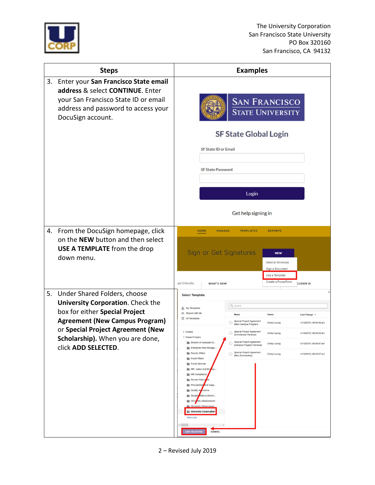

| <b>Steps</b> |                                                                                                                                                                                                                                                     | <b>Examples</b>                                                                                                                                         |                                                                                                                                                                          |                                                                                    |                                                                                       |                                                    |
|--------------|-----------------------------------------------------------------------------------------------------------------------------------------------------------------------------------------------------------------------------------------------------|---------------------------------------------------------------------------------------------------------------------------------------------------------|--------------------------------------------------------------------------------------------------------------------------------------------------------------------------|------------------------------------------------------------------------------------|---------------------------------------------------------------------------------------|----------------------------------------------------|
| 3.           | Enter your San Francisco State email<br>address & select CONTINUE. Enter<br>your San Francisco State ID or email<br>address and password to access your<br>DocuSign account.                                                                        |                                                                                                                                                         |                                                                                                                                                                          | <b>SAN FRANCISCO</b><br><b>STATE UNIVERSITY</b>                                    |                                                                                       |                                                    |
|              |                                                                                                                                                                                                                                                     |                                                                                                                                                         |                                                                                                                                                                          | <b>SF State Global Login</b>                                                       |                                                                                       |                                                    |
|              |                                                                                                                                                                                                                                                     |                                                                                                                                                         | <b>SF State ID or Email</b>                                                                                                                                              |                                                                                    |                                                                                       |                                                    |
|              |                                                                                                                                                                                                                                                     |                                                                                                                                                         | <b>SF State Password</b>                                                                                                                                                 |                                                                                    |                                                                                       |                                                    |
|              |                                                                                                                                                                                                                                                     |                                                                                                                                                         |                                                                                                                                                                          |                                                                                    |                                                                                       |                                                    |
|              |                                                                                                                                                                                                                                                     |                                                                                                                                                         |                                                                                                                                                                          | Login                                                                              |                                                                                       |                                                    |
|              |                                                                                                                                                                                                                                                     |                                                                                                                                                         |                                                                                                                                                                          | Get help signing in                                                                |                                                                                       |                                                    |
|              | 4. From the DocuSign homepage, click<br>on the NEW button and then select<br><b>USE A TEMPLATE</b> from the drop<br>down menu.                                                                                                                      |                                                                                                                                                         | <b>HOME</b><br><b>MANAGE</b>                                                                                                                                             | <b>TEMPLATES</b><br>Sign or Get Signatures                                         | <b>REPORTS</b><br><b>NEW</b><br>Send an Envelope<br>Sign a Document<br>Use a Template |                                                    |
|              |                                                                                                                                                                                                                                                     | ast 6 Months                                                                                                                                            | <b>WHAT'S NEW</b>                                                                                                                                                        |                                                                                    | Create a PowerForm                                                                    | <b>CUSIGN ID</b>                                   |
| 5.           | Under Shared Folders, choose<br><b>University Corporation.</b> Check the<br>box for either Special Project<br><b>Agreement (New Campus Program)</b><br>or Special Project Agreement (New<br>Scholarship). When you are done,<br>click ADD SELECTED. | <b>Select Template</b><br>My Templates<br><b>At Shared with Me</b><br>All Templates                                                                     |                                                                                                                                                                          | Q Search                                                                           |                                                                                       |                                                    |
|              |                                                                                                                                                                                                                                                     |                                                                                                                                                         |                                                                                                                                                                          | Name<br>Special Project Agreement<br>(New Campus Program)                          | Owner<br>Cheryl Leung                                                                 | Last Change <b>v</b><br>4/19/2019   08:50:46 am    |
|              |                                                                                                                                                                                                                                                     | $\triangleright$ Folders<br>Division of Graduate St<br><b>Em</b> Enterprise Risk Manage<br>Faculty Affairs                                              |                                                                                                                                                                          | Special Project Agreement<br>О<br>(Scholarship Renewal)                            | Cheryl Leung                                                                          | 4/19/2019   08:50:05 am                            |
|              |                                                                                                                                                                                                                                                     |                                                                                                                                                         |                                                                                                                                                                          | Special Project Agreement<br>(Campus Program Renewal)<br>Special Project Agreement | Cheryl Leung<br>Cheryl Leung                                                          | 4/19/2019   08:48:47 am<br>4/19/2019   08:48:07 am |
|              |                                                                                                                                                                                                                                                     | <b>Fiscal Affairs</b><br><b>Fiscal Services</b><br>HR-Compliance<br>Human Resour<br>Quality As urance<br><b>View Less</b><br>$\epsilon$<br>ADD SELECTED | HR - Labor and Employ<br>les<br>Procurement and Supp<br>Student Affairs & Enroll<br>University Advancement<br>University Advancemen.<br>University Corporation<br>CANCEL | (New Scholarship)                                                                  |                                                                                       |                                                    |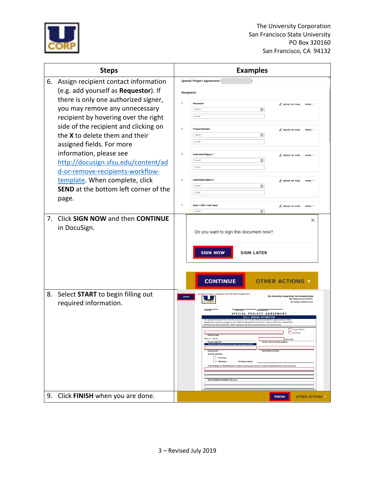

| <b>Steps</b>                            |                                              |                | <b>Examples</b>                                                                                                                                                                                                                |  |  |  |
|-----------------------------------------|----------------------------------------------|----------------|--------------------------------------------------------------------------------------------------------------------------------------------------------------------------------------------------------------------------------|--|--|--|
| 6. Assign recipient contact information |                                              |                | <b>Special Project Agreement (</b>                                                                                                                                                                                             |  |  |  |
|                                         | (e.g. add yourself as Requestor). If         |                | <b>Recipients</b>                                                                                                                                                                                                              |  |  |  |
|                                         | there is only one authorized signer,         |                | Requestor                                                                                                                                                                                                                      |  |  |  |
|                                         | you may remove any unnecessary               |                | NEEDS TO SIGN<br>MORE 1<br>Name<br>日                                                                                                                                                                                           |  |  |  |
|                                         | recipient by hovering over the right         |                | Email *                                                                                                                                                                                                                        |  |  |  |
|                                         | side of the recipient and clicking on        |                | <b>Project Director</b><br>NEEDS TO SIGN<br>MORE Y                                                                                                                                                                             |  |  |  |
|                                         | the X to delete them and their               |                | Name <sup>®</sup><br>日                                                                                                                                                                                                         |  |  |  |
|                                         | assigned fields. For more                    |                | Email *                                                                                                                                                                                                                        |  |  |  |
|                                         | information, please see                      | 3              | <b>Authorized Signer 1</b><br>NEEDS TO SIGN<br>MORE V                                                                                                                                                                          |  |  |  |
|                                         | http://docusign.sfsu.edu/content/ad          |                | Name <sup>1</sup><br>目                                                                                                                                                                                                         |  |  |  |
|                                         | d-or-remove-recipients-workflow-             |                | Email *                                                                                                                                                                                                                        |  |  |  |
|                                         | template. When complete, click               |                | <b>Authorized Signer 2</b><br>NEEDS TO SIGN<br>MORE V                                                                                                                                                                          |  |  |  |
|                                         | <b>SEND</b> at the bottom left corner of the |                | Name <sup>*</sup><br>в<br>Email                                                                                                                                                                                                |  |  |  |
|                                         | page.                                        |                |                                                                                                                                                                                                                                |  |  |  |
|                                         |                                              | $\overline{7}$ | Dean / AVP / Unit Head<br>NEEDS TO SIGN<br>MORE <b>V</b><br>Name<br>日                                                                                                                                                          |  |  |  |
| 7.                                      | Click SIGN NOW and then CONTINUE             |                | ×                                                                                                                                                                                                                              |  |  |  |
|                                         | in DocuSign.                                 |                |                                                                                                                                                                                                                                |  |  |  |
|                                         |                                              |                | Do you want to sign this document now?                                                                                                                                                                                         |  |  |  |
|                                         |                                              |                |                                                                                                                                                                                                                                |  |  |  |
|                                         |                                              |                | <b>SIGN NOW</b><br><b>SIGN LATER</b>                                                                                                                                                                                           |  |  |  |
|                                         |                                              |                |                                                                                                                                                                                                                                |  |  |  |
|                                         |                                              |                |                                                                                                                                                                                                                                |  |  |  |
|                                         |                                              |                | <b>CONTINUE</b><br><b>OTHER ACTIONS V</b>                                                                                                                                                                                      |  |  |  |
| 8.                                      | Select START to begin filling out            |                | n Envelope ID: A3280430-12C9-4782-ADE1-E3A408473A74                                                                                                                                                                            |  |  |  |
|                                         | required information.                        | <b>START</b>   | the University Corporation, San Francisco State<br>1600 Holloway Avenue, ADM.361<br>ncisco, California 94132                                                                                                                   |  |  |  |
|                                         |                                              |                |                                                                                                                                                                                                                                |  |  |  |
|                                         |                                              |                | SPECIAL PROJECT AGREEMENT<br><b>Part 1: GENERAL INFORMATION</b><br>n San Francisco State (LICorn) and the project<br>low operates in compliance with California Administrative Code Title V, Section 42500, the Integrated CSL |  |  |  |
|                                         |                                              |                | ministrative Manual (ICSUAM), and the policies of the University Corporation, San Francisco Sta<br>Campus Progr                                                                                                                |  |  |  |
|                                         |                                              |                | Scholarship<br><b>PROJECT NAME</b><br>Cheryl Leung<br>@sfsu.edu                                                                                                                                                                |  |  |  |
|                                         |                                              |                | <b><i>BROIFCT DIRECTOR</i></b><br>PROJECT DIRECTOR EMAIL ADDRESS<br>Must be Tenured                                                                                                                                            |  |  |  |
|                                         |                                              |                | <b>DEPARTMENT/DIVISION</b><br><b>COLLEGE/UNIT</b><br>ACTIVITY LOCATION<br>$\Box$ On Campus                                                                                                                                     |  |  |  |
|                                         |                                              |                | O off Campus<br>Off Campus Address:<br>PURPOSE/GOAL OF PROGRAM (State the objective of this project and how it meets the educational mission of the University):                                                               |  |  |  |
|                                         |                                              |                |                                                                                                                                                                                                                                |  |  |  |
|                                         |                                              |                | OTHER REMARKS/COMMENTS (Optional)                                                                                                                                                                                              |  |  |  |
|                                         |                                              |                |                                                                                                                                                                                                                                |  |  |  |
|                                         | 9. Click FINISH when you are done.           |                | <b>FINISH</b><br><b>OTHER ACTIONS</b>                                                                                                                                                                                          |  |  |  |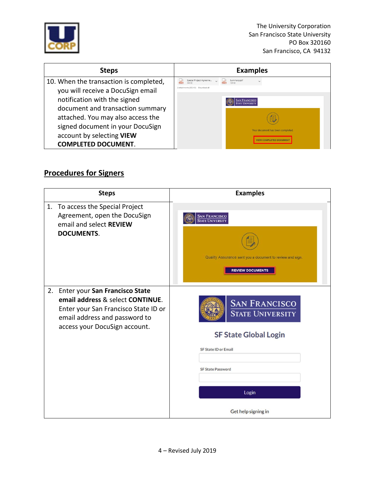

The University Corporation San Francisco State University PO Box 320160 San Francisco, CA 94132

| <b>Steps</b>                           | <b>Examples</b>                                                               |
|----------------------------------------|-------------------------------------------------------------------------------|
| 10. When the transaction is completed, | Special Project Agreeme<br>Summary.pdf<br>2 attachments (502 KB) Download all |
| you will receive a DocuSign email      |                                                                               |
| notification with the signed           | <b>AN FRANCISCO</b>                                                           |
| document and transaction summary       |                                                                               |
| attached. You may also access the      |                                                                               |
| signed document in your DocuSign       | Your document has been completed                                              |
| account by selecting VIEW              |                                                                               |
| <b>COMPLETED DOCUMENT.</b>             |                                                                               |

## **Procedures for Signers**

| 1.<br>To access the Special Project<br>Agreement, open the DocuSign<br>email and select REVIEW<br><b>DOCUMENTS.</b>                                                                | <b>SAN FRANCISCO</b><br>STATE UNIVERSITY<br>Quality Assurance sent you a document to review and sign.<br><b>REVIEW DOCUMENTS</b>                                           |
|------------------------------------------------------------------------------------------------------------------------------------------------------------------------------------|----------------------------------------------------------------------------------------------------------------------------------------------------------------------------|
| Enter your San Francisco State<br>2.<br>email address & select CONTINUE.<br>Enter your San Francisco State ID or<br>email address and password to<br>access your DocuSign account. | <b>SAN FRANCISCO</b><br><b>STATE UNIVERSITY</b><br><b>SF State Global Login</b><br><b>SF State ID or Email</b><br><b>SF State Password</b><br>Login<br>Get help signing in |